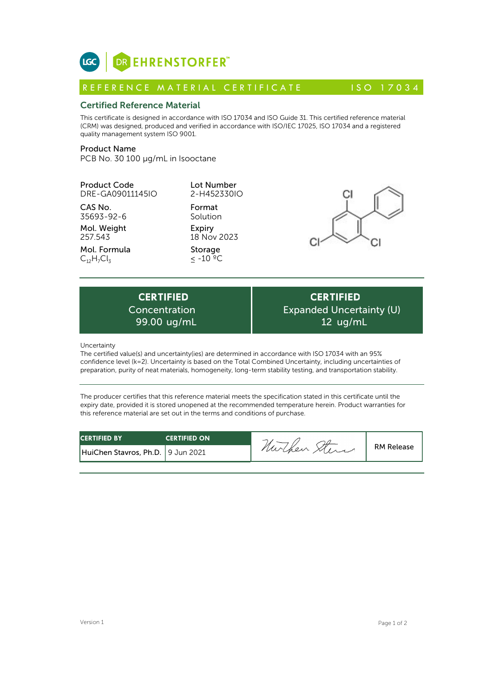

# Certified Reference Material

This certificate is designed in accordance with ISO 17034 and ISO Guide 31. This certified reference material (CRM) was designed, produced and verified in accordance with ISO/IEC 17025, ISO 17034 and a registered quality management system ISO 9001. **ICC**<br> **REFERENCE MATERIAL CERTIFICATE**<br> **REFERENCE MATERIAL CERTIFICATE** ISO 17034<br> **Certified Reference Material**<br>
CFIM) was designed, produced and verified in accordance with ISO 17034 and ISO Guide 31. This certified r

# Product Name

PCB No. 30 100 µg/mL in Isooctane

Product Code DRE-GA09011145IO

CAS No. 35693-92-6

Mol. Weight 257.543

Mol. Formula  $C_{12}H_{7}Cl_{3}$ 

2-H452330IO Format

Lot Number

Solution Expiry 18 Nov 2023

Storage  $\leq$  -10  $^{\circ}$ °C



**CERTIFIED** Concentration 99.00 ug/mL

**CERTIFIED** Expanded Uncertainty (U) 12 ug/mL

Uncertainty

The certified value(s) and uncertainty(ies) are determined in accordance with ISO 17034 with an 95% confidence level (k=2). Uncertainty is based on the Total Combined Uncertainty, including uncertainties of preparation, purity of neat materials, homogeneity, long-term stability testing, and transportation stability.

The producer certifies that this reference material meets the specification stated in this certificate until the expiry date, provided it is stored unopened at the recommended temperature herein. Product warranties for this reference material are set out in the terms and conditions of purchase.

| <b>CERTIFIED BY</b>               | <b>CERTIFIED ON</b> | -       |                   |
|-----------------------------------|---------------------|---------|-------------------|
| HuiChen Stavros, Ph.D. 9 Jun 2021 |                     | nurchen | <b>RM Release</b> |